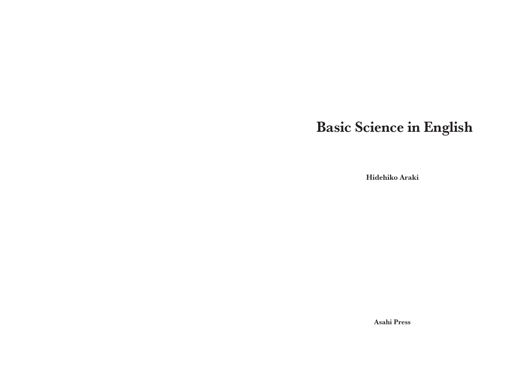# Basic Science in English

Hidehiko Araki

Asahi Press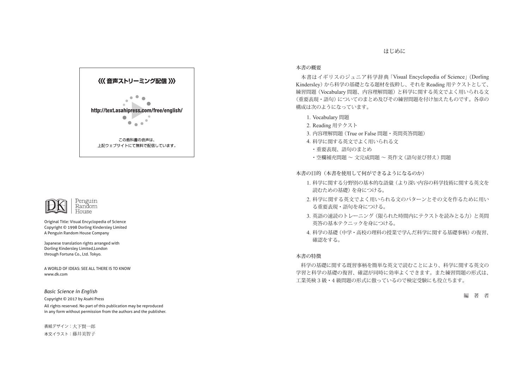#### はじめに

### 〈〈〈 音声ストリーミング配信 〉〉 http://text.asahipress.com/free/english/  $\overline{\phantom{0}}$  $\bullet \bullet \bullet$ この教科書の音声は、 上記ウェブサイトにて無料で配信しています。



Original Title: Visual Encyclopedia of Science Copyright © 1998 Dorling Kindersley Limited A Penguin Random House Company

Japanese translation rights arranged with Dorling Kindersley Limited,London through Fortuna Co., Ltd. Tokyo.

A WORLD OF IDEAS: SEE ALL THERE IS TO KNOW www.dk.com

#### *Basic Science in English*

Copyright © 2017 by Asahi Press

All rights reserved. No part of this publication may be reproduced in any form without permission from the authors and the publisher.

表紙デザイン:大下賢一郎 本文イラスト:藤井美智子

#### 本書の概要

本書はイギリスのジュニア科学辞典 「Visual Encyclopedia of Science」 (Dorling Kindersley) から科学の基礎となる題材を抜粋し、それを Reading 用テクストとして、 練習問題 (Vocabulary 問題、内容理解問題) と科学に関する英文でよく用いられる文 (重要表現・語句) についてのまとめ及びその練習問題を付け加えたものです。各章の 構成は次のようになっています。

- 1. Vocabulary 問題
- 2. Reading 用テクスト
- 3. 内容理解問題 (True or False 問題・英問英答問題)
- 4. 科学に関する英文でよく用いられる文
	- ・重要表現、語句のまとめ
	- ・空欄補充問題 ~ 文完成問題 ~ 英作文 (語句並び替え) 問題

本書の目的(本書を使用して何ができるようになるのか)

- 1. 科学に関する分野別の基本的な語彙 (より深い内容の科学技術に関する英文を 読むための基礎) を身につける。
- 2. 科学に関する英文でよく用いられる文のパターンとその文を作るために用い る重要表現・語句を身につける。
- 3. 英語の速読のトレーニング (限られた時間内にテクストを読みとる力) と英問 英答の基本テクニックを身につける。
- 4. 科学の基礎 (中学・高校の理科の授業で学んだ科学に関する基礎事柄) の復習、 確認をする。

#### 本書の特徴

科学の基礎に関する既習事柄を簡単な英文で読むことにより、科学に関する英文の 学習と科学の基礎の復習、確認が同時に効率よくできます。また練習問題の形式は、 工業英検 3 級・4 級問題の形式に倣っているので検定受験にも役立ちます。

編 著 者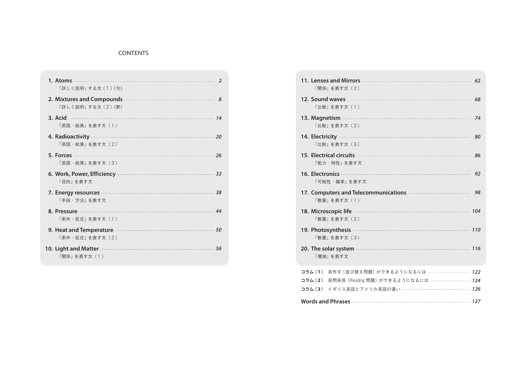#### CONTENTS

| 「詳しく説明」する文 (1)〈句〉                                                                             |  |
|-----------------------------------------------------------------------------------------------|--|
| 2. Mixtures and Compounds <b>Manual Compounds</b> 8<br>「詳しく説明」する文 (2)〈節〉                      |  |
| 「原因·結果」を表す文 (1)                                                                               |  |
| 4. Radioactivity 20<br>「原因・結果」を表す文(2)                                                         |  |
| 5. Forces 26<br>「原因・結果」を表す文(3)                                                                |  |
|                                                                                               |  |
| 6. Work, Power, Efficiency <b>Election Community</b> 32<br>「目的」を表す文                           |  |
| 7. Energy resources <b>Manual Energy Resources</b> 38<br>「手段・方法」を表す文                          |  |
| 8. Pressure 24<br>「条件・仮定」を表す文(1)                                                              |  |
| 9. Heat and Temperature <b>Executive Service Service Service Service</b> 50<br>「条件・仮定」を表す文(2) |  |

| 11. Lenses and Mirrors <b>Commission Commission</b> 62<br>「関係」を表す文 (2)                                                                                                                                                                               |    |
|------------------------------------------------------------------------------------------------------------------------------------------------------------------------------------------------------------------------------------------------------|----|
| 12. Sound waves <b>contract and a set of the set of the Sound Waves</b><br>「比較」を表す文 (1)                                                                                                                                                              | 68 |
| 13. Magnetism <b>contract of the contract of the contract of the contract of the contract of the contract of the contract of the contract of the contract of the contract of the contract of the contract of the contract of the</b><br>「比較」を表す文 (2) | 74 |
| 14. Electricity <b>continuum continuum continuum continuum continuum continuum continuum continuum continuum continuum continuum continuum continuum continuum continuum continuum continuum continuum continuum continuum conti</b><br>「比較」を表す文 (3) | 80 |
| 「能力・特性」を表す文                                                                                                                                                                                                                                          | 86 |
| 「可能性・確率」を表す文                                                                                                                                                                                                                                         | 92 |
| 17. Computers and Telecommunications <b>Communical</b><br>「数量」を表す文 (1)                                                                                                                                                                               | 98 |
| 18. Microscopic life <b>Commission</b> 104<br>「数量」を表す文 (2)                                                                                                                                                                                           |    |
| 19. Photosynthesis <b>Manual Manual Property 110</b><br>「数量」を表す文 (3)                                                                                                                                                                                 |    |
| 20. The solar system <b>Exercise Contract 20. The solar system</b> and the solar system <b>Exercise Contract 2116</b><br>「増減」を表す文                                                                                                                    |    |
| 英作文 (並び替え問題) ができるようになるには ……………………………… 122<br>コラム (1)<br>コラム (2) 英問英答 (Reading 問題) ができるようになるには …………………………… 124<br>コラム(3) イギリス英語とアメリカ英語の違い ……………………………………………… 126                                                                                      |    |
| Words and Phrases <b>Commission Control</b> and Taylor and Taylor and Taylor and Taylor and Taylor and Taylor and Taylor and Taylor and Taylor and Taylor and Taylor and Taylor and Taylor and Taylor and Taylor and Taylor and Tay                  |    |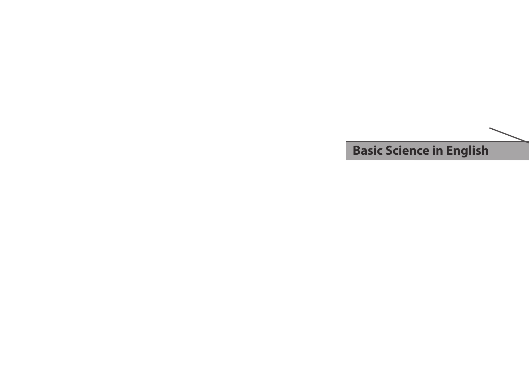## **Basic Science in English**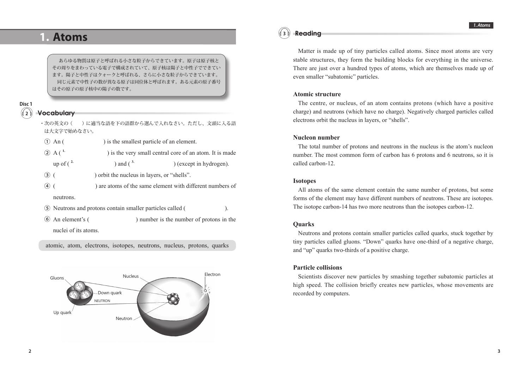### **1. Atoms**

あらゆる物質は原子と呼ばれる小さな粒子からできています。原子は原子核と その周りをまわっている電子で構成されていて、原子核は陽子と中性子でできてい ます。陽子と中性子はクォークと呼ばれる、さらに小さな粒子からできています。 同じ元素で中性子の数が異なる原子は同位体と呼ばれます。ある元素の原子番号 はその原子の原子核中の陽子の数です。

#### **2 Disc 1**

#### **Vocabulary**

- ・次の英文の ( ) に適当な語を下の語群から選んで入れなさい。ただし、文頭に入る語 は大文字で始めなさい。
- ① An ( ) is the smallest particle of an element.
- ② A ( **1.** ) is the very small central core of an atom. It is made
	- up of  $(\lambda^2)$  and  $(\lambda^3)$  (except in hydrogen).
- ③ ( ) orbit the nucleus in layers, or "shells".
- ④ ( ) are atoms of the same element with different numbers of neutrons.
- ⑤ Neutrons and protons contain smaller particles called ( ).
- ⑥ An element's ( ) number is the number of protons in the nuclei of its atoms.

atomic, atom, electrons, isotopes, neutrons, nucleus, protons, quarks



#### **3 Reading**

Matter is made up of tiny particles called atoms. Since most atoms are very stable structures, they form the building blocks for everything in the universe. There are just over a hundred types of atoms, which are themselves made up of even smaller "subatomic" particles.

#### **Atomic structure**

The centre, or nucleus, of an atom contains protons (which have a positive charge) and neutrons (which have no charge). Negatively charged particles called electrons orbit the nucleus in layers, or "shells".

#### **Nucleon number**

The total number of protons and neutrons in the nucleus is the atom's nucleon number. The most common form of carbon has 6 protons and 6 neutrons, so it is called carbon-12.

#### **Isotopes**

All atoms of the same element contain the same number of protons, but some forms of the element may have different numbers of neutrons. These are isotopes. The isotope carbon-14 has two more neutrons than the isotopes carbon-12.

#### **Quarks**

Neutrons and protons contain smaller particles called quarks, stuck together by tiny particles called gluons. "Down" quarks have one-third of a negative charge, and "up" quarks two-thirds of a positive charge.

#### **Particle collisions**

Scientists discover new particles by smashing together subatomic particles at high speed. The collision briefly creates new particles, whose movements are recorded by computers.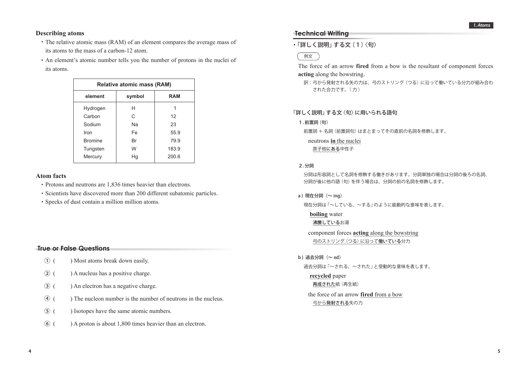#### **Describing atoms**

- ・ The relative atomic mass (RAM) of an element compares the average mass of its atoms to the mass of a carbon-12 atom.
- ・ An element's atomic number tells you the number of protons in the nuclei of its atoms.

| <b>Relative atomic mass (RAM)</b> |        |            |  |  |
|-----------------------------------|--------|------------|--|--|
| element                           | symbol | <b>RAM</b> |  |  |
| Hydrogen                          | н      |            |  |  |
| Carbon                            | C      | 12         |  |  |
| Sodium                            | Nа     | 23         |  |  |
| Iron                              | Fe     | 55.9       |  |  |
| <b>Bromine</b>                    | Br     | 79.9       |  |  |
| Tungsten                          | W      | 183.9      |  |  |
| Mercury                           | Hg     | 200.6      |  |  |
|                                   |        |            |  |  |

#### **Atom facts**

- ・ Protons and neutrons are 1,836 times heavier than electrons.
- ・ Scientists have discovered more than 200 different subatomic particles.
- ・ Specks of dust contain a million million atoms.

#### **True or False Questions**

- ① ( ) Most atoms break down easily.
- ② ( ) A nucleus has a positive charge.
- ③ ( ) An electron has a negative charge.
- ④ ( ) The nucleon number is the number of neutrons in the nucleus.
- ⑤ ( ) Isotopes have the same atomic numbers.
- ⑥ ( ) A proton is about 1,800 times heavier than an electron.

#### **Technical Writing**

・ 「詳しく説明」 する文 (1) 〈句〉

#### 例文

 The force of an arrow **fired** from a bow is the resultant of component forces **acting** along the bowstring.

訳: 弓から発射される矢の力は、弓のストリング (つる) に沿って働いている分力が組み合わ された合力です。( 力 )

#### 「詳しく説明」する文〈句〉に用いられる語句

1. 前置詞 (句)

前置詞 + 名詞 (前置詞句) はまとまってその直前の名詞を修飾します。

neutrons **in** the nuclei

原子核にある中性子

#### 2. 分詞

 分詞は形容詞として名詞を修飾する働きがあります。分詞単独の場合は分詞の後ろの名詞、 分詞が後に他の語 (句) を伴う場合は、分詞の前の名詞を修飾します。

a) 現在分詞 $(\sim$  ing)

現在分詞は 「~している、~する」 のように能動的な意味を表します。

**boiling** water

沸騰しているお湯

component forces **acting** along the bowstring 弓のストリング (つる) に沿って働いている分力

b) 過去分詞 $(\sim$  ed)

過去分詞は「~される、~された」と受動的な意味を表します。

#### **recycled** paper

#### 再成された紙 (再生紙)

the force of an arrow **fired** from a bow 弓から発射される矢の力